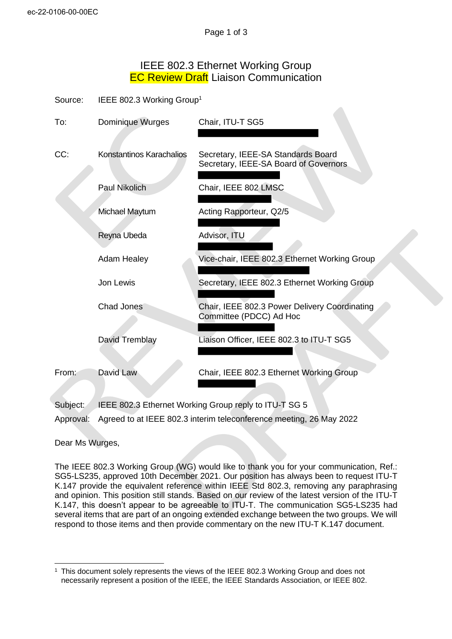## IEEE 802.3 Ethernet Working Group **EC Review Draft Liaison Communication**

| Source: | IEEE 802.3 Working Group <sup>1</sup> |
|---------|---------------------------------------|
|---------|---------------------------------------|

| To:      | Dominique Wurges                                      | Chair, ITU-T SG5                                                            |
|----------|-------------------------------------------------------|-----------------------------------------------------------------------------|
| CC:      | Konstantinos Karachalios                              | Secretary, IEEE-SA Standards Board<br>Secretary, IEEE-SA Board of Governors |
|          | <b>Paul Nikolich</b>                                  | Chair, IEEE 802 LMSC                                                        |
|          | Michael Maytum                                        | Acting Rapporteur, Q2/5                                                     |
|          | Reyna Ubeda                                           | Advisor, ITU                                                                |
|          | <b>Adam Healey</b>                                    | Vice-chair, IEEE 802.3 Ethernet Working Group                               |
|          | Jon Lewis                                             | Secretary, IEEE 802.3 Ethernet Working Group                                |
|          | Chad Jones                                            | Chair, IEEE 802.3 Power Delivery Coordinating<br>Committee (PDCC) Ad Hoc    |
|          | David Tremblay                                        | Liaison Officer, IEEE 802.3 to ITU-T SG5                                    |
| From:    | David Law                                             | Chair, IEEE 802.3 Ethernet Working Group                                    |
| Subject: | IEEE 802.3 Ethernet Working Group reply to ITU-T SG 5 |                                                                             |

Approval: Agreed to at IEEE 802.3 interim teleconference meeting, 26 May 2022

Dear Ms Wurges,

The IEEE 802.3 Working Group (WG) would like to thank you for your communication, Ref.: SG5-LS235, approved 10th December 2021. Our position has always been to request ITU-T K.147 provide the equivalent reference within IEEE Std 802.3, removing any paraphrasing and opinion. This position still stands. Based on our review of the latest version of the ITU-T K.147, this doesn't appear to be agreeable to ITU-T. The communication SG5-LS235 had several items that are part of an ongoing extended exchange between the two groups. We will respond to those items and then provide commentary on the new ITU-T K.147 document.

<sup>&</sup>lt;sup>1</sup> This document solely represents the views of the IEEE 802.3 Working Group and does not necessarily represent a position of the IEEE, the IEEE Standards Association, or IEEE 802.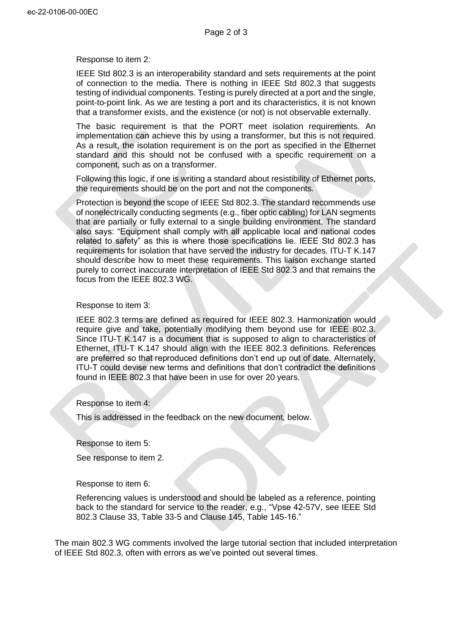Response to item 2:

IEEE Std 802.3 is an interoperability standard and sets requirements at the point of connection to the media. There is nothing in IEEE Std 802.3 that suggests testing of individual components. Testing is purely directed at a port and the single, point-to-point link. As we are testing a port and its characteristics, it is not known that a transformer exists, and the existence (or not) is not observable externally.

The basic requirement is that the PORT meet isolation requirements. An implementation can achieve this by using a transformer, but this is not required. As a result, the isolation requirement is on the port as specified in the Ethernet standard and this should not be confused with a specific requirement on a component, such as on a transformer.

Following this logic, if one is writing a standard about resistibility of Ethernet ports, the requirements should be on the port and not the components.

Protection is beyond the scope of IEEE Std 802.3. The standard recommends use of nonelectrically conducting segments (e.g., fiber optic cabling) for LAN segments that are partially or fully external to a single building environment. The standard also says: "Equipment shall comply with all applicable local and national codes related to safety" as this is where those specifications lie. IEEE Std 802.3 has requirements for isolation that have served the industry for decades. ITU-T K.147 should describe how to meet these requirements. This liaison exchange started purely to correct inaccurate interpretation of IEEE Std 802.3 and that remains the focus from the IEEE 802.3 WG.

## Response to item 3:

IEEE 802.3 terms are defined as required for IEEE 802.3. Harmonization would require give and take, potentially modifying them beyond use for IEEE 802.3. Since ITU-T K.147 is a document that is supposed to align to characteristics of Ethernet, ITU-T K.147 should align with the IEEE 802.3 definitions. References are preferred so that reproduced definitions don't end up out of date. Alternately, ITU-T could devise new terms and definitions that don't contradict the definitions found in IEEE 802.3 that have been in use for over 20 years.

Response to item 4:

This is addressed in the feedback on the new document, below.

Response to item 5:

See response to item 2.

Response to item 6:

Referencing values is understood and should be labeled as a reference, pointing back to the standard for service to the reader, e.g., "Vpse 42-57V, see IEEE Std 802.3 Clause 33, Table 33-5 and Clause 145, Table 145-16."

The main 802.3 WG comments involved the large tutorial section that included interpretation of IEEE Std 802.3, often with errors as we've pointed out several times.